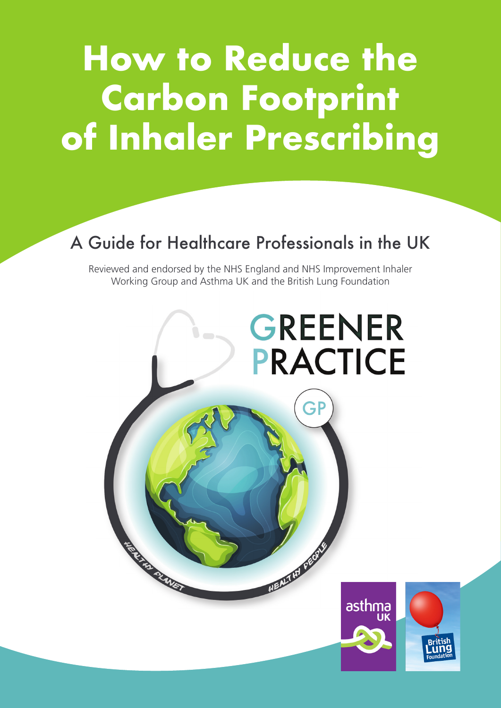# **How to Reduce the Carbon Footprint of Inhaler Prescribing**

### A Guide for Healthcare Professionals in the UK

Reviewed and endorsed by the NHS England and NHS Improvement Inhaler Working Group and Asthma UK and the British Lung Foundation

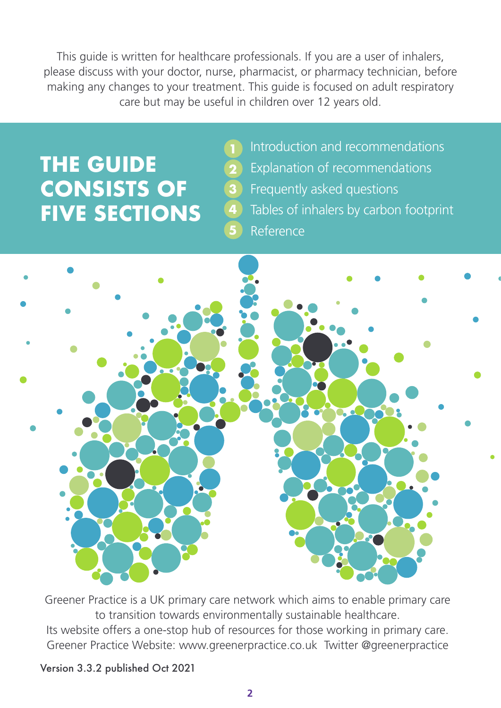This guide is written for healthcare professionals. If you are a user of inhalers, please discuss with your doctor, nurse, pharmacist, or pharmacy technician, before making any changes to your treatment. This guide is focused on adult respiratory care but may be useful in children over 12 years old.

# **THE GUIDE CONSISTS OF FIVE SECTIONS**

- **3 2**
- **4**

**5**

Explanation of recommendations Frequently asked questions Tables of inhalers by carbon footprint

Introduction and recommendations

Reference



Greener Practice is a UK primary care network which aims to enable primary care to transition towards environmentally sustainable healthcare. Its website offers a one-stop hub of resources for those working in primary care. Greener Practice Website: www.greenerpractice.co.uk Twitter @greenerpractice

Version 3.3.2 published Oct 2021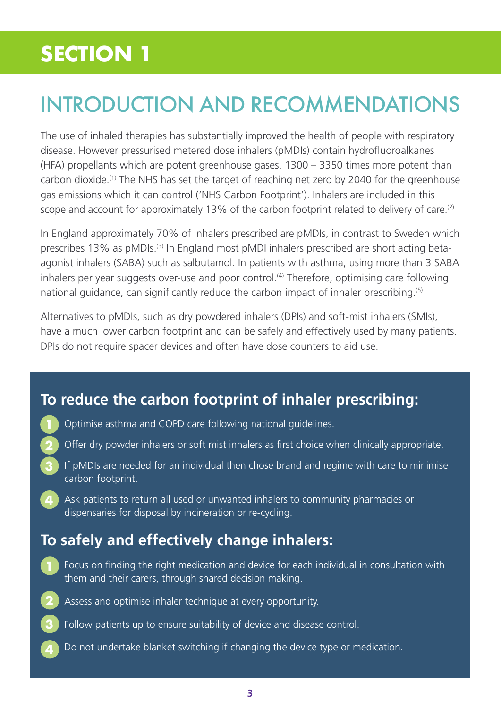# INTRODUCTION AND RECOMMENDATIONS

The use of inhaled therapies has substantially improved the health of people with respiratory disease. However pressurised metered dose inhalers (pMDIs) contain hydrofluoroalkanes (HFA) propellants which are potent greenhouse gases, 1300 – 3350 times more potent than carbon dioxide.(1) The NHS has set the target of reaching net zero by 2040 for the greenhouse gas emissions which it can control ('NHS Carbon Footprint'). Inhalers are included in this scope and account for approximately 13% of the carbon footprint related to delivery of care.<sup>(2)</sup>

In England approximately 70% of inhalers prescribed are pMDIs, in contrast to Sweden which prescribes 13% as pMDIs.<sup>(3)</sup> In England most pMDI inhalers prescribed are short acting betaagonist inhalers (SABA) such as salbutamol. In patients with asthma, using more than 3 SABA inhalers per year suggests over-use and poor control.<sup>(4)</sup> Therefore, optimising care following national guidance, can significantly reduce the carbon impact of inhaler prescribing.<sup>(5)</sup>

Alternatives to pMDIs, such as dry powdered inhalers (DPIs) and soft-mist inhalers (SMIs), have a much lower carbon footprint and can be safely and effectively used by many patients. DPIs do not require spacer devices and often have dose counters to aid use.

### **To reduce the carbon footprint of inhaler prescribing:**

- Optimise asthma and COPD care following national guidelines. **1**
- Offer dry powder inhalers or soft mist inhalers as first choice when clinically appropriate. **2**
- If pMDIs are needed for an individual then chose brand and regime with care to minimise carbon footprint. **3**
- **4** Ask patients to return all used or unwanted inhalers to community pharmacies or dispensaries for disposal by incineration or re-cycling.

### **To safely and effectively change inhalers:**

- Focus on finding the right medication and device for each individual in consultation with them and their carers, through shared decision making. **1**
- Assess and optimise inhaler technique at every opportunity. **2**
- Follow patients up to ensure suitability of device and disease control. **3**
- Do not undertake blanket switching if changing the device type or medication. **4**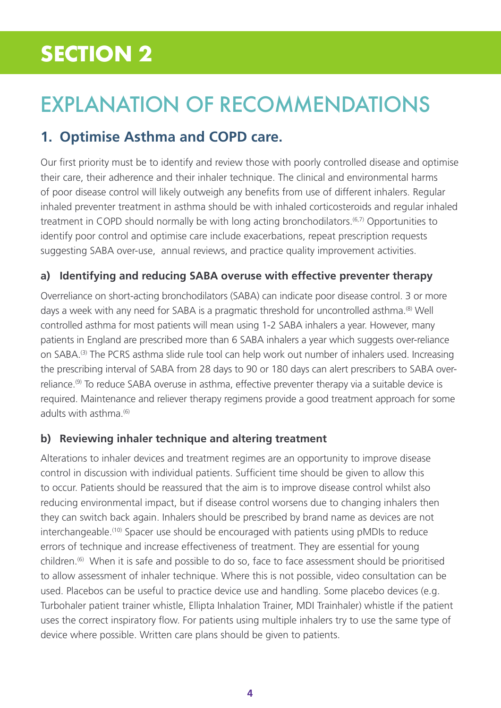# EXPLANATION OF RECOMMENDATIONS

### **1. Optimise Asthma and COPD care.**

Our first priority must be to identify and review those with poorly controlled disease and optimise their care, their adherence and their inhaler technique. The clinical and environmental harms of poor disease control will likely outweigh any benefits from use of different inhalers. Regular inhaled preventer treatment in asthma should be with inhaled corticosteroids and regular inhaled treatment in COPD should normally be with long acting bronchodilators.<sup>(6,7)</sup> Opportunities to identify poor control and optimise care include exacerbations, repeat prescription requests suggesting SABA over-use, annual reviews, and practice quality improvement activities.

### **a) Identifying and reducing SABA overuse with effective preventer therapy**

Overreliance on short-acting bronchodilators (SABA) can indicate poor disease control. 3 or more days a week with any need for SABA is a pragmatic threshold for uncontrolled asthma.<sup>(8)</sup> Well controlled asthma for most patients will mean using 1-2 SABA inhalers a year. However, many patients in England are prescribed more than 6 SABA inhalers a year which suggests over-reliance on SABA.(3) The PCRS asthma slide rule tool can help work out number of inhalers used. Increasing the prescribing interval of SABA from 28 days to 90 or 180 days can alert prescribers to SABA overreliance.(9) To reduce SABA overuse in asthma, effective preventer therapy via a suitable device is required. Maintenance and reliever therapy regimens provide a good treatment approach for some adults with asthma $(6)$ 

### **b) Reviewing inhaler technique and altering treatment**

Alterations to inhaler devices and treatment regimes are an opportunity to improve disease control in discussion with individual patients. Sufficient time should be given to allow this to occur. Patients should be reassured that the aim is to improve disease control whilst also reducing environmental impact, but if disease control worsens due to changing inhalers then they can switch back again. Inhalers should be prescribed by brand name as devices are not interchangeable.(10) Spacer use should be encouraged with patients using pMDIs to reduce errors of technique and increase effectiveness of treatment. They are essential for young children.(6) When it is safe and possible to do so, face to face assessment should be prioritised to allow assessment of inhaler technique. Where this is not possible, video consultation can be used. Placebos can be useful to practice device use and handling. Some placebo devices (e.g. Turbohaler patient trainer whistle, Ellipta Inhalation Trainer, MDI Trainhaler) whistle if the patient uses the correct inspiratory flow. For patients using multiple inhalers try to use the same type of device where possible. Written care plans should be given to patients.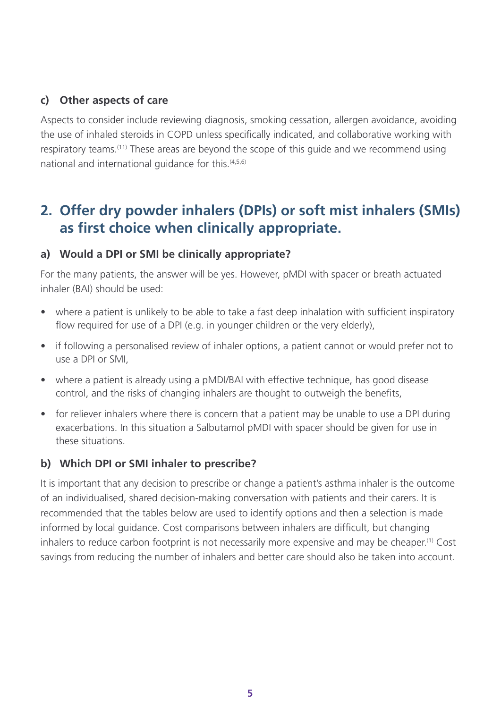### **c) Other aspects of care**

Aspects to consider include reviewing diagnosis, smoking cessation, allergen avoidance, avoiding the use of inhaled steroids in COPD unless specifically indicated, and collaborative working with respiratory teams.<sup>(11)</sup> These areas are beyond the scope of this guide and we recommend using national and international guidance for this.(4,5,6)

### **2. Offer dry powder inhalers (DPIs) or soft mist inhalers (SMIs) as first choice when clinically appropriate.**

#### **a) Would a DPI or SMI be clinically appropriate?**

For the many patients, the answer will be yes. However, pMDI with spacer or breath actuated inhaler (BAI) should be used:

- where a patient is unlikely to be able to take a fast deep inhalation with sufficient inspiratory flow required for use of a DPI (e.g. in younger children or the very elderly),
- if following a personalised review of inhaler options, a patient cannot or would prefer not to use a DPI or SMI,
- where a patient is already using a pMDI/BAI with effective technique, has good disease control, and the risks of changing inhalers are thought to outweigh the benefits,
- for reliever inhalers where there is concern that a patient may be unable to use a DPI during exacerbations. In this situation a Salbutamol pMDI with spacer should be given for use in these situations.

#### **b) Which DPI or SMI inhaler to prescribe?**

It is important that any decision to prescribe or change a patient's asthma inhaler is the outcome of an individualised, shared decision-making conversation with patients and their carers. It is recommended that the tables below are used to identify options and then a selection is made informed by local guidance. Cost comparisons between inhalers are difficult, but changing inhalers to reduce carbon footprint is not necessarily more expensive and may be cheaper.(1) Cost savings from reducing the number of inhalers and better care should also be taken into account.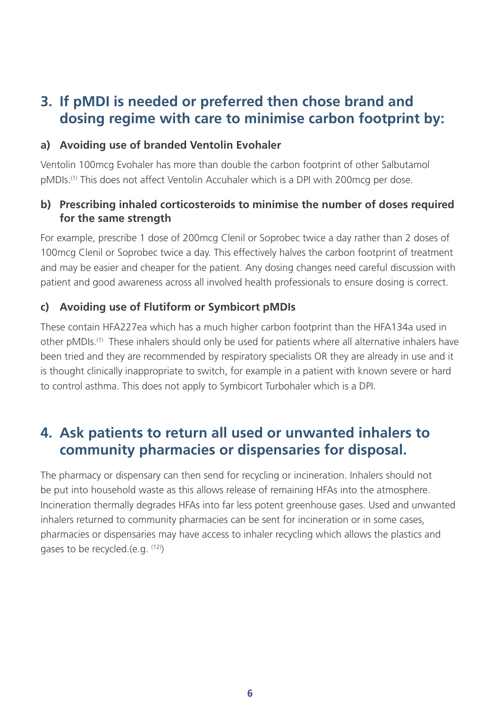### **3. If pMDI is needed or preferred then chose brand and dosing regime with care to minimise carbon footprint by:**

#### **a) Avoiding use of branded Ventolin Evohaler**

Ventolin 100mcg Evohaler has more than double the carbon footprint of other Salbutamol pMDIs.(1) This does not affect Ventolin Accuhaler which is a DPI with 200mcg per dose.

#### **b) Prescribing inhaled corticosteroids to minimise the number of doses required for the same strength**

For example, prescribe 1 dose of 200mcg Clenil or Soprobec twice a day rather than 2 doses of 100mcg Clenil or Soprobec twice a day. This effectively halves the carbon footprint of treatment and may be easier and cheaper for the patient. Any dosing changes need careful discussion with patient and good awareness across all involved health professionals to ensure dosing is correct.

#### **c) Avoiding use of Flutiform or Symbicort pMDIs**

These contain HFA227ea which has a much higher carbon footprint than the HFA134a used in other pMDIs.(1) These inhalers should only be used for patients where all alternative inhalers have been tried and they are recommended by respiratory specialists OR they are already in use and it is thought clinically inappropriate to switch, for example in a patient with known severe or hard to control asthma. This does not apply to Symbicort Turbohaler which is a DPI.

### **4. Ask patients to return all used or unwanted inhalers to community pharmacies or dispensaries for disposal.**

The pharmacy or dispensary can then send for recycling or incineration. Inhalers should not be put into household waste as this allows release of remaining HFAs into the atmosphere. Incineration thermally degrades HFAs into far less potent greenhouse gases. Used and unwanted inhalers returned to community pharmacies can be sent for incineration or in some cases, pharmacies or dispensaries may have access to inhaler recycling which allows the plastics and gases to be recycled.(e.g.  $(12)$ )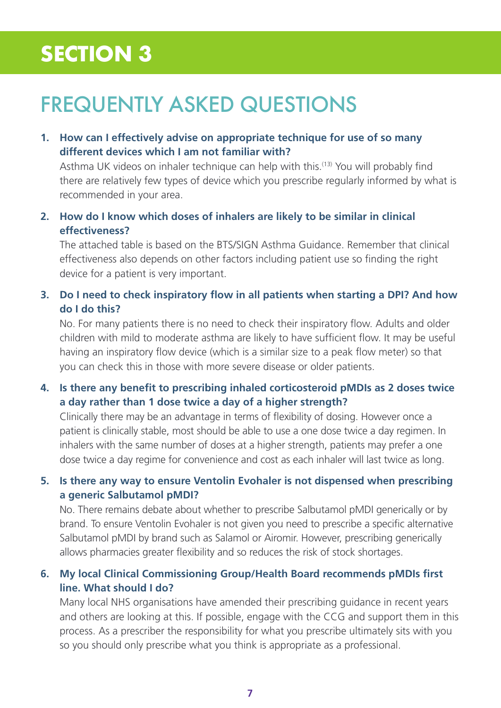## FREQUENTLY ASKED QUESTIONS

#### **1. How can I effectively advise on appropriate technique for use of so many different devices which I am not familiar with?**

Asthma UK videos on inhaler technique can help with this.<sup>(13)</sup> You will probably find there are relatively few types of device which you prescribe regularly informed by what is recommended in your area.

### **2. How do I know which doses of inhalers are likely to be similar in clinical effectiveness?**

The attached table is based on the BTS/SIGN Asthma Guidance. Remember that clinical effectiveness also depends on other factors including patient use so finding the right device for a patient is very important.

#### **3. Do I need to check inspiratory flow in all patients when starting a DPI? And how do I do this?**

No. For many patients there is no need to check their inspiratory flow. Adults and older children with mild to moderate asthma are likely to have sufficient flow. It may be useful having an inspiratory flow device (which is a similar size to a peak flow meter) so that you can check this in those with more severe disease or older patients.

### **4. Is there any benefit to prescribing inhaled corticosteroid pMDIs as 2 doses twice a day rather than 1 dose twice a day of a higher strength?**

Clinically there may be an advantage in terms of flexibility of dosing. However once a patient is clinically stable, most should be able to use a one dose twice a day regimen. In inhalers with the same number of doses at a higher strength, patients may prefer a one dose twice a day regime for convenience and cost as each inhaler will last twice as long.

### **5. Is there any way to ensure Ventolin Evohaler is not dispensed when prescribing a generic Salbutamol pMDI?**

No. There remains debate about whether to prescribe Salbutamol pMDI generically or by brand. To ensure Ventolin Evohaler is not given you need to prescribe a specific alternative Salbutamol pMDI by brand such as Salamol or Airomir. However, prescribing generically allows pharmacies greater flexibility and so reduces the risk of stock shortages.

### **6. My local Clinical Commissioning Group/Health Board recommends pMDIs first line. What should I do?**

Many local NHS organisations have amended their prescribing guidance in recent years and others are looking at this. If possible, engage with the CCG and support them in this process. As a prescriber the responsibility for what you prescribe ultimately sits with you so you should only prescribe what you think is appropriate as a professional.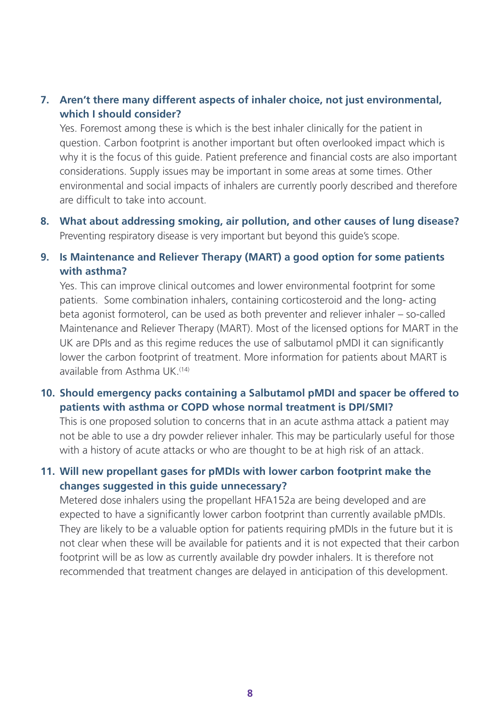### **7. Aren't there many different aspects of inhaler choice, not just environmental, which I should consider?**

Yes. Foremost among these is which is the best inhaler clinically for the patient in question. Carbon footprint is another important but often overlooked impact which is why it is the focus of this guide. Patient preference and financial costs are also important considerations. Supply issues may be important in some areas at some times. Other environmental and social impacts of inhalers are currently poorly described and therefore are difficult to take into account.

**8. What about addressing smoking, air pollution, and other causes of lung disease?**  Preventing respiratory disease is very important but beyond this guide's scope.

#### **9. Is Maintenance and Reliever Therapy (MART) a good option for some patients with asthma?**

Yes. This can improve clinical outcomes and lower environmental footprint for some patients. Some combination inhalers, containing corticosteroid and the long- acting beta agonist formoterol, can be used as both preventer and reliever inhaler – so-called Maintenance and Reliever Therapy (MART). Most of the licensed options for MART in the UK are DPIs and as this regime reduces the use of salbutamol pMDI it can significantly lower the carbon footprint of treatment. More information for patients about MART is available from Asthma UK.<sup>(14)</sup>

#### **10. Should emergency packs containing a Salbutamol pMDI and spacer be offered to patients with asthma or COPD whose normal treatment is DPI/SMI?**

This is one proposed solution to concerns that in an acute asthma attack a patient may not be able to use a dry powder reliever inhaler. This may be particularly useful for those with a history of acute attacks or who are thought to be at high risk of an attack.

#### **11. Will new propellant gases for pMDIs with lower carbon footprint make the changes suggested in this guide unnecessary?**

Metered dose inhalers using the propellant HFA152a are being developed and are expected to have a significantly lower carbon footprint than currently available pMDIs. They are likely to be a valuable option for patients requiring pMDIs in the future but it is not clear when these will be available for patients and it is not expected that their carbon footprint will be as low as currently available dry powder inhalers. It is therefore not recommended that treatment changes are delayed in anticipation of this development.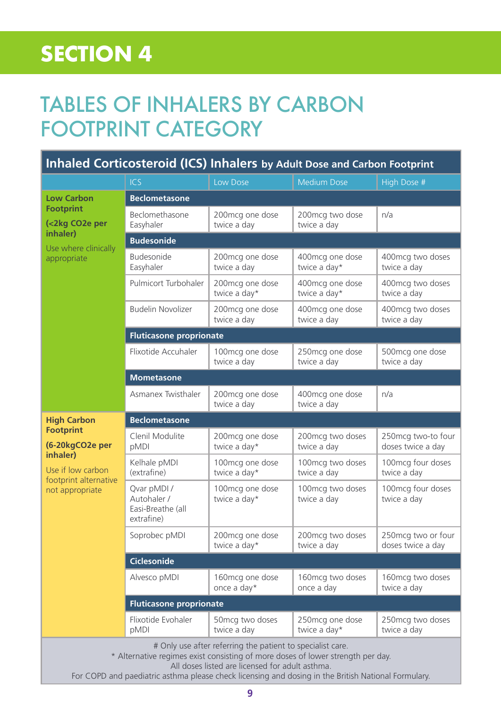### TABLES OF INHALERS BY CARBON FOOTPRINT CATEGORY

| <b>Inhaled Corticosteroid (ICS) Inhalers by Adult Dose and Carbon Footprint</b>                            |                                                               |                                 |                                 |                                         |  |  |
|------------------------------------------------------------------------------------------------------------|---------------------------------------------------------------|---------------------------------|---------------------------------|-----------------------------------------|--|--|
|                                                                                                            | <b>ICS</b>                                                    | Low Dose                        | <b>Medium Dose</b>              | High Dose #                             |  |  |
| <b>Low Carbon</b><br><b>Footprint</b><br>(<2kg CO2e per<br>inhaler)<br>Use where clinically<br>appropriate | <b>Beclometasone</b>                                          |                                 |                                 |                                         |  |  |
|                                                                                                            | Beclomethasone<br>Easyhaler                                   | 200mcg one dose<br>twice a day  | 200mcg two dose<br>twice a day  | n/a                                     |  |  |
|                                                                                                            | <b>Budesonide</b>                                             |                                 |                                 |                                         |  |  |
|                                                                                                            | <b>Budesonide</b><br>Easyhaler                                | 200mcg one dose<br>twice a day  | 400mcg one dose<br>twice a day* | 400mcg two doses<br>twice a day         |  |  |
|                                                                                                            | Pulmicort Turbohaler                                          | 200mcg one dose<br>twice a day* | 400mcg one dose<br>twice a day* | 400mcg two doses<br>twice a day         |  |  |
|                                                                                                            | <b>Budelin Novolizer</b>                                      | 200mcg one dose<br>twice a day  | 400mcg one dose<br>twice a day  | 400mcg two doses<br>twice a day         |  |  |
|                                                                                                            | <b>Fluticasone proprionate</b>                                |                                 |                                 |                                         |  |  |
|                                                                                                            | Flixotide Accuhaler                                           | 100mcg one dose<br>twice a day  | 250mcg one dose<br>twice a day  | 500mcg one dose<br>twice a day          |  |  |
|                                                                                                            | <b>Mometasone</b>                                             |                                 |                                 |                                         |  |  |
|                                                                                                            | Asmanex Twisthaler                                            | 200mcg one dose<br>twice a day  | 400mcg one dose<br>twice a day  | n/a                                     |  |  |
|                                                                                                            |                                                               |                                 |                                 |                                         |  |  |
| <b>High Carbon</b>                                                                                         | <b>Beclometasone</b>                                          |                                 |                                 |                                         |  |  |
| <b>Footprint</b><br>(6-20kgCO2e per                                                                        | Clenil Modulite<br>pMDI                                       | 200mcg one dose<br>twice a day* | 200mcg two doses<br>twice a day | 250mcg two-to four<br>doses twice a day |  |  |
| inhaler)<br>Use if low carbon                                                                              | Kelhale pMDI<br>(extrafine)                                   | 100mcg one dose<br>twice a day* | 100mcg two doses<br>twice a day | 100mcg four doses<br>twice a day        |  |  |
| footprint alternative<br>not appropriate                                                                   | Qvar pMDI /<br>Autohaler /<br>Easi-Breathe (all<br>extrafine) | 100mcg one dose<br>twice a day* | 100mcg two doses<br>twice a day | 100mcg four doses<br>twice a day        |  |  |
|                                                                                                            | Soprobec pMDI                                                 | 200mcg one dose<br>twice a day* | 200mcg two doses<br>twice a day | 250mcg two or four<br>doses twice a day |  |  |
|                                                                                                            | <b>Ciclesonide</b>                                            |                                 |                                 |                                         |  |  |
|                                                                                                            | Alvesco pMDI                                                  | 160mcg one dose<br>once a day*  | 160mcg two doses<br>once a day  | 160mcg two doses<br>twice a day         |  |  |
|                                                                                                            | <b>Fluticasone proprionate</b>                                |                                 |                                 |                                         |  |  |
|                                                                                                            | Flixotide Evohaler<br>pMDI                                    | 50mcg two doses<br>twice a day  | 250mcg one dose<br>twice a day* | 250mcg two doses<br>twice a day         |  |  |

All doses listed are licensed for adult asthma.

For COPD and paediatric asthma please check licensing and dosing in the British National Formulary.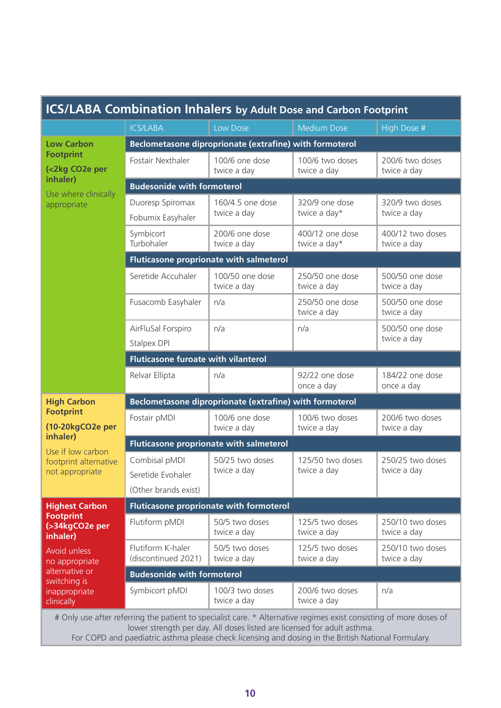| <b>ICS/LABA Combination Inhalers by Adult Dose and Carbon Footprint</b>                                                                                                           |                                                                        |                                 |                                 |                                 |  |  |
|-----------------------------------------------------------------------------------------------------------------------------------------------------------------------------------|------------------------------------------------------------------------|---------------------------------|---------------------------------|---------------------------------|--|--|
|                                                                                                                                                                                   | <b>ICS/LABA</b>                                                        | Low Dose                        | <b>Medium Dose</b>              | High Dose #                     |  |  |
| <b>Low Carbon</b>                                                                                                                                                                 | Beclometasone diproprionate (extrafine) with formoterol                |                                 |                                 |                                 |  |  |
| <b>Footprint</b><br>(<2kg CO2e per<br>inhaler)<br>Use where clinically<br>appropriate                                                                                             | Fostair Nexthaler                                                      | 100/6 one dose<br>twice a day   | 100/6 two doses<br>twice a day  | 200/6 two doses<br>twice a day  |  |  |
|                                                                                                                                                                                   | <b>Budesonide with formoterol</b>                                      |                                 |                                 |                                 |  |  |
|                                                                                                                                                                                   | Duoresp Spiromax<br>Fobumix Easyhaler                                  | 160/4.5 one dose<br>twice a day | 320/9 one dose<br>twice a day*  | 320/9 two doses<br>twice a day  |  |  |
|                                                                                                                                                                                   | Symbicort<br>Turbohaler                                                | 200/6 one dose<br>twice a day   | 400/12 one dose<br>twice a day* | 400/12 two doses<br>twice a day |  |  |
|                                                                                                                                                                                   | Fluticasone proprionate with salmeterol                                |                                 |                                 |                                 |  |  |
|                                                                                                                                                                                   | Seretide Accuhaler                                                     | 100/50 one dose<br>twice a day  | 250/50 one dose<br>twice a day  | 500/50 one dose<br>twice a day  |  |  |
|                                                                                                                                                                                   | Fusacomb Easyhaler                                                     | n/a                             | 250/50 one dose<br>twice a day  | 500/50 one dose<br>twice a day  |  |  |
|                                                                                                                                                                                   | AirFluSal Forspiro<br>Stalpex DPI                                      | n/a                             | n/a                             | 500/50 one dose<br>twice a day  |  |  |
|                                                                                                                                                                                   | <b>Fluticasone furoate with vilanterol</b>                             |                                 |                                 |                                 |  |  |
|                                                                                                                                                                                   | Relvar Ellipta                                                         | n/a                             | 92/22 one dose<br>once a day    | 184/22 one dose<br>once a day   |  |  |
| <b>High Carbon</b><br><b>Footprint</b><br>(10-20kgCO2e per<br>inhaler)<br>Use if low carbon<br>footprint alternative<br>not appropriate                                           | Beclometasone diproprionate (extrafine) with formoterol                |                                 |                                 |                                 |  |  |
|                                                                                                                                                                                   | Fostair pMDI                                                           | 100/6 one dose<br>twice a day   | 100/6 two doses<br>twice a day  | 200/6 two doses<br>twice a day  |  |  |
|                                                                                                                                                                                   | Fluticasone proprionate with salmeterol                                |                                 |                                 |                                 |  |  |
|                                                                                                                                                                                   | Combisal pMDI<br>Seretide Evohaler                                     | 50/25 two doses<br>twice a day  | 125/50 two doses<br>twice a day | 250/25 two doses<br>twice a day |  |  |
|                                                                                                                                                                                   | (Other brands exist)<br><b>Fluticasone proprionate with formoterol</b> |                                 |                                 |                                 |  |  |
| <b>Highest Carbon</b><br><b>Footprint</b><br>(>34kgCO2e per<br>inhaler)<br><b>Avoid unless</b><br>no appropriate<br>alternative or<br>switching is<br>inappropriate<br>clinically | Flutiform pMDI                                                         | 50/5 two doses                  | 125/5 two doses                 | 250/10 two doses                |  |  |
|                                                                                                                                                                                   |                                                                        | twice a day                     | twice a day                     | twice a day                     |  |  |
|                                                                                                                                                                                   | Flutiform K-haler<br>(discontinued 2021)                               | 50/5 two doses<br>twice a day   | 125/5 two doses<br>twice a day  | 250/10 two doses<br>twice a day |  |  |
|                                                                                                                                                                                   | <b>Budesonide with formoterol</b>                                      |                                 |                                 |                                 |  |  |
|                                                                                                                                                                                   | Symbicort pMDI                                                         | 100/3 two doses<br>twice a day  | 200/6 two doses<br>twice a day  | n/a                             |  |  |
| # Only use after referring the patient to specialist care * Alternative regimes exist consisting of more doses of                                                                 |                                                                        |                                 |                                 |                                 |  |  |

# Only use after referring the patient to specialist care. \* Alternative regimes exist consisting of more doses of lower strength per day. All doses listed are licensed for adult asthma.

For COPD and paediatric asthma please check licensing and dosing in the British National Formulary.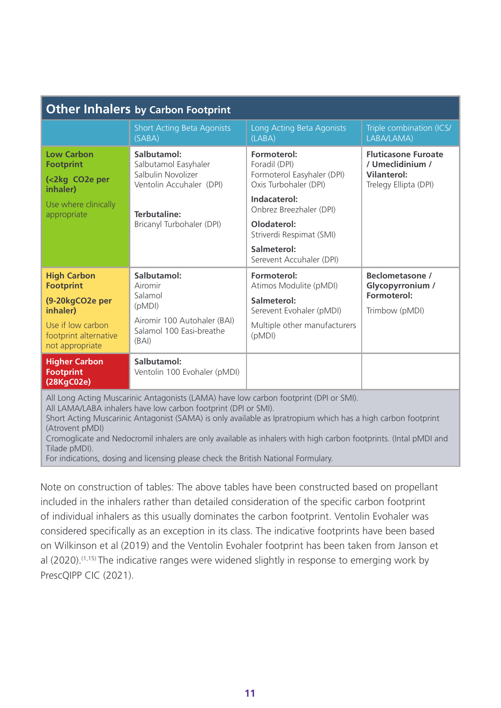| <b>Other Inhalers by Carbon Footprint</b>                                                                                                                                                                                                                                                                                                                                                                                                                                                                             |                                                                                                                                           |                                                                                                                                                                           |                                                                                               |  |  |  |  |
|-----------------------------------------------------------------------------------------------------------------------------------------------------------------------------------------------------------------------------------------------------------------------------------------------------------------------------------------------------------------------------------------------------------------------------------------------------------------------------------------------------------------------|-------------------------------------------------------------------------------------------------------------------------------------------|---------------------------------------------------------------------------------------------------------------------------------------------------------------------------|-----------------------------------------------------------------------------------------------|--|--|--|--|
|                                                                                                                                                                                                                                                                                                                                                                                                                                                                                                                       | <b>Short Acting Beta Agonists</b><br>(SABA)                                                                                               | Long Acting Beta Agonists<br>(LABA)                                                                                                                                       | Triple combination (ICS/<br>LABA/LAMA)                                                        |  |  |  |  |
| <b>Low Carbon</b><br><b>Footprint</b><br>(<2kg CO2e per<br>inhaler)<br>Use where clinically<br>appropriate                                                                                                                                                                                                                                                                                                                                                                                                            | Salbutamol:<br>Salbutamol Easyhaler<br>Salbulin Novolizer<br>Ventolin Accuhaler (DPI)<br><b>Terbutaline:</b><br>Bricanyl Turbohaler (DPI) | Formoterol:<br>Foradil (DPI)<br>Formoterol Easyhaler (DPI)<br>Oxis Turbohaler (DPI)<br>Indacaterol:<br>Onbrez Breezhaler (DPI)<br>Olodaterol:<br>Striverdi Respimat (SMI) | <b>Fluticasone Furoate</b><br>/ Umeclidinium /<br><b>Vilanterol:</b><br>Trelegy Ellipta (DPI) |  |  |  |  |
|                                                                                                                                                                                                                                                                                                                                                                                                                                                                                                                       |                                                                                                                                           | Salmeterol:<br>Serevent Accuhaler (DPI)                                                                                                                                   |                                                                                               |  |  |  |  |
| <b>High Carbon</b><br><b>Footprint</b><br>(9-20kgCO2e per<br>inhaler)<br>Use if low carbon<br>footprint alternative<br>not appropriate                                                                                                                                                                                                                                                                                                                                                                                | Salbutamol:<br>Airomir<br>Salamol<br>(pMDI)<br>Airomir 100 Autohaler (BAI)<br>Salamol 100 Easi-breathe<br>(BAI)                           | Formoterol:<br>Atimos Modulite (pMDI)<br>Salmeterol:<br>Serevent Evohaler (pMDI)<br>Multiple other manufacturers<br>(pMDI)                                                | <b>Beclometasone /</b><br>Glycopyrronium /<br>Formoterol:<br>Trimbow (pMDI)                   |  |  |  |  |
| <b>Higher Carbon</b><br><b>Footprint</b><br>(28KgC02e)                                                                                                                                                                                                                                                                                                                                                                                                                                                                | Salbutamol:<br>Ventolin 100 Evohaler (pMDI)                                                                                               |                                                                                                                                                                           |                                                                                               |  |  |  |  |
| All Long Acting Muscarinic Antagonists (LAMA) have low carbon footprint (DPI or SMI).<br>All LAMA/LABA inhalers have low carbon footprint (DPI or SMI).<br>Short Acting Muscarinic Antagonist (SAMA) is only available as Ipratropium which has a high carbon footprint<br>(Atrovent pMDI)<br>Cromoglicate and Nedocromil inhalers are only available as inhalers with high carbon footprints. (Intal pMDI and<br>Tilade pMDI).<br>For indications, dosing and licensing please check the British National Formulary. |                                                                                                                                           |                                                                                                                                                                           |                                                                                               |  |  |  |  |

Note on construction of tables: The above tables have been constructed based on propellant included in the inhalers rather than detailed consideration of the specific carbon footprint of individual inhalers as this usually dominates the carbon footprint. Ventolin Evohaler was considered specifically as an exception in its class. The indicative footprints have been based on Wilkinson et al (2019) and the Ventolin Evohaler footprint has been taken from Janson et al (2020).<sup>(1,15)</sup> The indicative ranges were widened slightly in response to emerging work by PrescQIPP CIC (2021).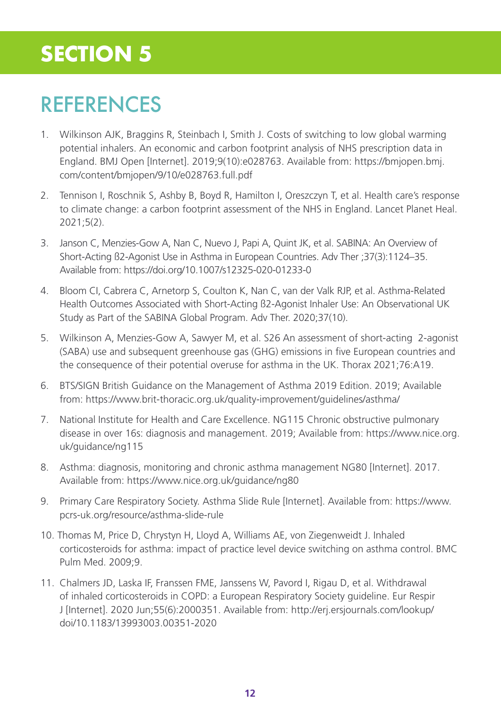# REFERENCES

- 1. Wilkinson AJK, Braggins R, Steinbach I, Smith J. Costs of switching to low global warming potential inhalers. An economic and carbon footprint analysis of NHS prescription data in England. BMJ Open [Internet]. 2019;9(10):e028763. Available from: https://bmjopen.bmj. com/content/bmjopen/9/10/e028763.full.pdf
- 2. Tennison I, Roschnik S, Ashby B, Boyd R, Hamilton I, Oreszczyn T, et al. Health care's response to climate change: a carbon footprint assessment of the NHS in England. Lancet Planet Heal. 2021;5(2).
- 3. Janson C, Menzies-Gow A, Nan C, Nuevo J, Papi A, Quint JK, et al. SABINA: An Overview of Short-Acting ß2-Agonist Use in Asthma in European Countries. Adv Ther ;37(3):1124–35. Available from: https://doi.org/10.1007/s12325-020-01233-0
- 4. Bloom CI, Cabrera C, Arnetorp S, Coulton K, Nan C, van der Valk RJP, et al. Asthma-Related Health Outcomes Associated with Short-Acting ß2-Agonist Inhaler Use: An Observational UK Study as Part of the SABINA Global Program. Adv Ther. 2020;37(10).
- 5. Wilkinson A, Menzies-Gow A, Sawyer M, et al. S26 An assessment of short-acting 2-agonist (SABA) use and subsequent greenhouse gas (GHG) emissions in five European countries and the consequence of their potential overuse for asthma in the UK. Thorax 2021;76:A19.
- 6. BTS/SIGN British Guidance on the Management of Asthma 2019 Edition. 2019; Available from: https://www.brit-thoracic.org.uk/quality-improvement/guidelines/asthma/
- 7. National Institute for Health and Care Excellence. NG115 Chronic obstructive pulmonary disease in over 16s: diagnosis and management. 2019; Available from: https://www.nice.org. uk/guidance/ng115
- 8. Asthma: diagnosis, monitoring and chronic asthma management NG80 [Internet]. 2017. Available from: https://www.nice.org.uk/guidance/ng80
- 9. Primary Care Respiratory Society. Asthma Slide Rule [Internet]. Available from: https://www. pcrs-uk.org/resource/asthma-slide-rule
- 10. Thomas M, Price D, Chrystyn H, Lloyd A, Williams AE, von Ziegenweidt J. Inhaled corticosteroids for asthma: impact of practice level device switching on asthma control. BMC Pulm Med. 2009;9.
- 11. Chalmers JD, Laska IF, Franssen FME, Janssens W, Pavord I, Rigau D, et al. Withdrawal of inhaled corticosteroids in COPD: a European Respiratory Society guideline. Eur Respir J [Internet]. 2020 Jun;55(6):2000351. Available from: http://erj.ersjournals.com/lookup/ doi/10.1183/13993003.00351-2020